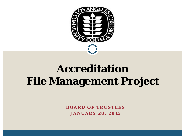

## **Accreditation File Management Project**

**BOARD OF TRUSTEES JANUARY 28, 2015**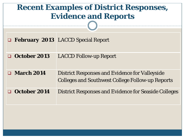## **Recent Examples of District Responses, Evidence and Reports**

|                        | <b>Example 3 EXECO</b> Special Report                                                                            |
|------------------------|------------------------------------------------------------------------------------------------------------------|
| October 2013<br>$\Box$ | <b>LACCD Follow-up Report</b>                                                                                    |
| $\Box$ March 2014      | <b>District Responses and Evidence for Valleyside</b><br><b>Colleges and Southwest College Follow-up Reports</b> |
| October 2014<br>□      | <b>District Responses and Evidence for Seaside Colleges</b>                                                      |
|                        |                                                                                                                  |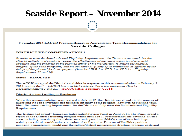## **Seaside Report – November 2014**

### November 2014 LACCD Progress Report on Accreditation Team Recommendations for **Seaside Colleges**

#### **DISTRICT RECOMMENDATION 1**

In order to meet the Standards and Eligibility Requirements, the Teams recommend that the District actively and regularly review the effectiveness of the construction bond oversight structure and the progress in the planned lifting of the moratorium to ensure the financial integrity of the bond programs, and the educational quality of its institutions as affected by the delays of the planned facilities projects (Standard III.B.1.a; III.D.2.a; IV.B.1.c; Eligibility Requirements 17 and 18).

#### **Status - RESOLVED**

The ACCJC accepted the District's activities in response to this recommendation on February 7, 2014, stating that "...LACCD has provided evidence that it has addressed District Recommendations 1 and 2..." (ACCJC letter, February 7, 2014)

#### **District Actions Leading to Resolution**

When this recommendation was received in July 2012, the District was already in the process of improving its bond oversight and the fiscal integrity of the program; however, the visiting team identified areas needing improvement for the District to fully meet the Standards and Eligibility Requirements.

The District had already formed an Independent Review Panel in April 2011. The Panel issued a report on the District's Building Program which included 17 recommendations covering diverse areas including: sustaining the maintenance and operations (M&O) cost of new buildings, training on ethical considerations, creation of an Executive Director of Facilities position, imposing a moratorium, modifying the college/district management structure, program costs and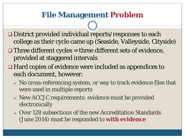### **File Management Problem**

- □ District provided individual reports/responses to each college as their cycle came up (Seaside, Valleyside, Cityside)
- $\Box$  Three different cycles = three different sets of evidence, provided at staggered intervals
- Hard copies of evidence were included as appendices to each document, however:
	- $\triangleright$  No cross-referencing system, or way to track evidence files that were used in multiple reports
	- New ACCJC requirements: evidence must be provided electronically
	- Over 128 subsections of the new Accreditation Standards (June 2014) must be responded to **with evidence**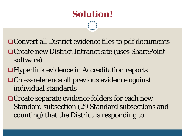Convert all District evidence files to pdf documents

- Create new District Intranet site (uses SharePoint software)
- Hyperlink evidence in Accreditation reports Cross-reference all previous evidence against individual standards
- **□ Create separate evidence folders for each new** Standard subsection (29 Standard subsections and counting) that the District is responding to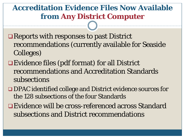## **Accreditation Evidence Files Now Available from Any District Computer**

- Reports with responses to past District recommendations (currently available for Seaside Colleges)
- Evidence files (pdf format) for all District recommendations and Accreditation Standards subsections
- DPAC identified college and District evidence sources for the 128 subsections of the four Standards
- Evidence will be cross-referenced across Standard subsections and District recommendations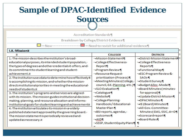#### **Sample of DPAC-Identified Evidence Sources**Accreditation·Standards¶ Breakdown·by·College/District·Evidence¶ =-Need-to-revisit-for-additional-evidence¶ I.A. Missioni **DISTRICTH COLLEGEN** 1. The mission describes the institution's broad-·- Mission Statement¶ · District Mission Statement educational purposes, its intended student population, ·- College Effectiveness· · College Effectiveness· the types of degrees and other credentials it offers, and Report¶ Reports¶ its-commitment-to-student-learning and-student-· Functional Map¶ · Program Review¶ ·- ESC-Program-Review & achievement.¤ ·-Resource Request· 2. The institution uses data to determine how effectively itprioritization (Process) **SAOs-1** ·- Meeting Minutes (College, · Student Survey¶ is accomplishing its mission, and whether the mission. council, Ed. Planning, etc.) · Budget Alloc. Model || directs institutional priorities in meeting the educational-· SLO Evaluation 1 ·- Board Minutes ( minutes . needs of students to 3. The institution's programs and services are aligned.  $\cdot$ -Catalogue¶ for approval) · - Update District Mission¶ • Website¶ with its mission. The mission guides institutional decision-· College Planning· · DPAC Minutes 1 making, planning, and resource allocation and informs. Handbook-/-Educational-· IE (Board) Minutes¶ institutional-goals-for-student-learning and-achievement¤ Master Plan - 1 · All Gov. Committee 4. The institution articulates its mission in a widely. ·· BSI·reports, agendas, · Minutes (DAS, SSIC, A+D¶ published statement approved by the governing board. outcomes¶ ·-Scorecard report¶ The mission statement is periodically reviewed and-\*-Board-Rules¶ updated as necessary.¤ ∙ AtD¶ ·· SSSP, Student Equity Plans¶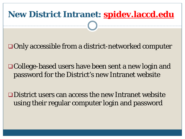# **New District Intranet: spidev.laccd.edu**

Only accessible from a district-networked computer

College-based users have been sent a new login and password for the District's new Intranet website

District users can access the new Intranet website using their regular computer login and password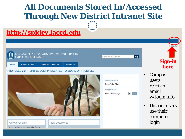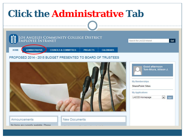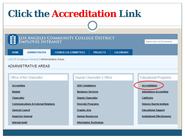## **Click the Accreditation Link**

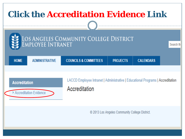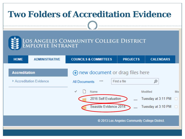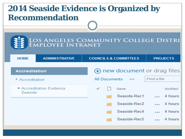## **2014 Seaside Evidence is Organized by Recommendation**

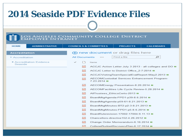| <b>2014 Seaside PDF Evidence Files</b>                    |                                                                                                                                         |                                  |                                                     |                                                          |  |
|-----------------------------------------------------------|-----------------------------------------------------------------------------------------------------------------------------------------|----------------------------------|-----------------------------------------------------|----------------------------------------------------------|--|
|                                                           |                                                                                                                                         |                                  |                                                     |                                                          |  |
| OS ANGELES COMMUNITY COLLEGE DISTRICT<br>MPLOYEE INTRANET |                                                                                                                                         |                                  |                                                     |                                                          |  |
|                                                           |                                                                                                                                         |                                  |                                                     |                                                          |  |
| <b>ADMINISTRATIVE</b><br><b>HOME</b>                      |                                                                                                                                         | <b>COUNCILS &amp; COMMITTEES</b> | <b>PROJECTS</b>                                     | <b>CALENDARS</b>                                         |  |
| Accreditation                                             |                                                                                                                                         |                                  | <b>(+)</b> new document or drag files here          |                                                          |  |
| > Accreditation                                           | <b>All Documents</b>                                                                                                                    |                                  | Find a file                                         | ∞                                                        |  |
| Accreditation Evidence<br>Seaside                         |                                                                                                                                         | Name                             |                                                     |                                                          |  |
|                                                           | 圖                                                                                                                                       |                                  |                                                     | ACCJC Action Letter July 3 2013 - all colleges and DO ** |  |
|                                                           | 國                                                                                                                                       |                                  | ACCJC Letter to District Office 2-7-2014 **         |                                                          |  |
|                                                           | 騷                                                                                                                                       |                                  | ACCJCVistingTeamSpecialEvalReport-May2.2013 #       |                                                          |  |
|                                                           | 國                                                                                                                                       | 7 23 2014 **                     | <b>AECOMCustodial Services Enhancement Program-</b> |                                                          |  |
|                                                           | $F_{\rm eff}^{\rm aff}$                                                                                                                 |                                  | AECOMEnergy Presentation-8.20.2014 **               |                                                          |  |
|                                                           | 國<br>AECOMFacilities Life Cycle Review-5.28.2014 **<br>國<br>AllTrustees EthicsCerts-2013 **<br>轀<br>BoardMtgAgenda-FPD1-p39-8.6.2014 ** |                                  |                                                     |                                                          |  |
|                                                           |                                                                                                                                         |                                  |                                                     |                                                          |  |
|                                                           |                                                                                                                                         |                                  |                                                     |                                                          |  |
|                                                           | 壇<br>BoardMtgAgenda-p59-61-8.21.2013 **                                                                                                 |                                  |                                                     |                                                          |  |
|                                                           | 國                                                                                                                                       |                                  | BoardMtgMinutes-BT2-p2-3-8.21.2013 ※                |                                                          |  |
|                                                           | 國                                                                                                                                       |                                  | BoardMtgMinutes-FPD1-p5-8.6.2014 **                 |                                                          |  |
|                                                           | 國                                                                                                                                       |                                  | BoardRulerevision-17002-17004-9.11.13 ※             |                                                          |  |
|                                                           | 國                                                                                                                                       |                                  | Chancellors-directive 152-4.26.2012 *               |                                                          |  |
|                                                           | 壇                                                                                                                                       |                                  | Change Order Memorandum-6.16.2014 **                |                                                          |  |
|                                                           | pdF                                                                                                                                     |                                  | CollegeBudgetRecovervPlan-6 17 2014 *               |                                                          |  |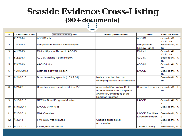## **Seaside Evidence Cross-Listing (90+ documents)**

| #  | <b>Document Date</b> | <b>Insert Function Title</b>       | <b>Description/Notes</b>     | <b>Author</b>                     | <b>District Rec#</b> |
|----|----------------------|------------------------------------|------------------------------|-----------------------------------|----------------------|
| 1  | 2/7/2014             | <b>ACCJC</b> letter                |                              | <b>ACCJC</b>                      | Seaside #1,          |
|    |                      |                                    |                              |                                   | #2. Pt. 1a           |
| 2  | 1/4/2012             | Independent Review Panel Report    |                              | Independent                       | Seaside #1, Pt.      |
|    |                      |                                    |                              | <b>Review Panel</b>               | 1a                   |
| 3  | 4/1/2013             | District Special Report to ACCJC   |                              | <b>District</b>                   | Seaside #1.          |
|    |                      |                                    |                              |                                   | #2. Pt. 1a           |
| 4  | 5/2/2013             | <b>ACCJC Visiting Team Report</b>  |                              | <b>ACCJC</b>                      | Seaside #1, Pt.      |
|    |                      |                                    |                              |                                   | 1b                   |
| 5  | 7/3/2013             | <b>AACJC</b> letter                |                              | <b>ACCJC</b>                      | Seaside #1, Pt.      |
|    |                      |                                    |                              |                                   | 1b                   |
| 6  | 10/15/2013           | District Follow-up Report          |                              | LACCD                             | Seaside #1, Pt.      |
|    |                      |                                    |                              |                                   | 1 <sub>b</sub>       |
| 7  | 8/21/2013            | Board meeting agenda (p.59 & 61)   | Notice of action item on     |                                   | Seaside #1, Pt.      |
|    |                      |                                    | changing names of committees |                                   | 1 <sub>b</sub>       |
|    |                      |                                    |                              |                                   |                      |
| 8  | 8/21/2013            | Board meeting minutes, BT2, p. 2-3 | Approval of Comm No. BT2     | Board of Trustees Seaside #1, Pt. |                      |
|    |                      |                                    | Amend Board Rule Chapter III |                                   | 1 <sub>b</sub>       |
|    |                      |                                    | Article VI Committees of the |                                   |                      |
|    |                      |                                    | <b>Board of Trustees</b>     |                                   |                      |
| 9  | 9/16/2013            | RFP for Bond Program Monitor       |                              | LACCD                             | Seaside #1, Pt.      |
|    |                      |                                    |                              |                                   |                      |
| 10 | 5/31/2014            | <b>LACCD CPM KPIs</b>              |                              |                                   | Seaside #1, Pt.      |
|    |                      |                                    |                              |                                   | 2                    |
| 11 | 7/10/2014            | <b>Risk Overview</b>               |                              | <b>LACCD Facilities</b>           | Seaside #1, Pt.      |
|    |                      |                                    |                              | Director's Report                 | 2                    |
| 12 | 4/30/14              | FMP&OC Mtg Minutes                 | Change order policy          |                                   | Seaside #1, Pt.      |
|    |                      |                                    | presentation                 |                                   | 2                    |
| 13 | 6/16/2014            | Change order memo                  |                              | James O'Reilly                    | Seaside #1, Pt.      |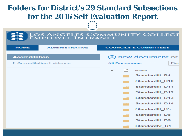### **Folders for District's 29 Standard Subsections for the 2016 Self Evaluation Report**LOS ANGELES COMMUNITY COLLEGE<br>EMPLOYEE INTRANET **ADMINISTRATIVE HOME COUNCILS & COMMITTEES (+)** new document or Accreditation > Accreditation Evidence **All Documents** Find **Name** StandardIII B4 StandardIII D10 StandardIII D11 StandardIII D12 StandardIII D13 StandardIII D14 StandardIII D5 StandardIII D8 StandardIII D9 StandardIV C1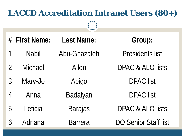| <b>LACCD Accreditation Intranet Users (80+)</b> |               |                   |                             |  |
|-------------------------------------------------|---------------|-------------------|-----------------------------|--|
|                                                 | # First Name: | <b>Last Name:</b> | Group:                      |  |
|                                                 | <b>Nabil</b>  | Abu-Ghazaleh      | <b>Presidents list</b>      |  |
| $\overline{2}$                                  | Michael       | Allen             | DPAC & ALO lists            |  |
| $\mathfrak{Z}$                                  | Mary-Jo       | Apigo             | <b>DPAC</b> list            |  |
| $\overline{4}$                                  | Anna          | Badalyan          | <b>DPAC</b> list            |  |
| 5                                               | Leticia       | <b>Barajas</b>    | DPAC & ALO lists            |  |
| 6                                               | Adriana       | <b>Barrera</b>    | <b>DO Senior Staff list</b> |  |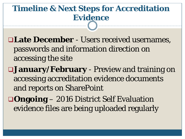## **Timeline & Next Steps for Accreditation Evidence**

- **Late December**  Users received usernames, passwords and information direction on accessing the site
- **January/February**  Preview and training on accessing accreditation evidence documents and reports on SharePoint
- **Ongoing**  2016 District Self Evaluation evidence files are being uploaded regularly